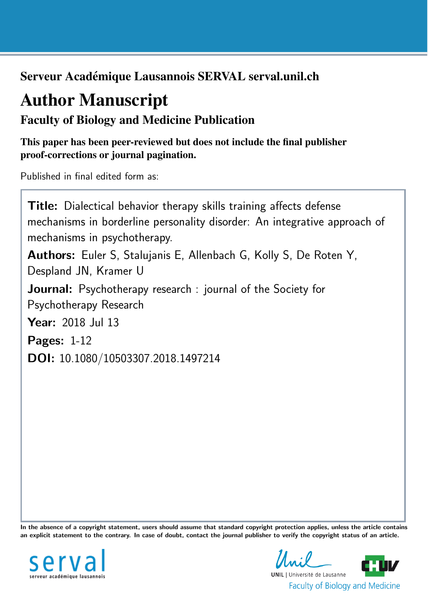Serveur Académique Lausannois SERVAL serval.unil.ch

# Author Manuscript

Faculty of Biology and Medicine Publication

This paper has been peer-reviewed but does not include the final publisher proof-corrections or journal pagination.

Published in final edited form as:

**Title:** Dialectical behavior therapy skills training affects defense mechanisms in borderline personality disorder: An integrative approach of mechanisms in psychotherapy. Authors: Euler S, Stalujanis E, Allenbach G, Kolly S, De Roten Y, Despland JN, Kramer U Journal: Psychotherapy research : journal of the Society for Psychotherapy Research Year: 2018 Jul 13 Pages: 1-12 DOI: [10.1080/10503307.2018.1497214](http://dx.doi.org/10.1080/10503307.2018.1497214)

In the absence of a copyright statement, users should assume that standard copyright protection applies, unless the article contains an explicit statement to the contrary. In case of doubt, contact the journal publisher to verify the copyright status of an article.



 $\mathcal{L} \cdot \mathcal{L}$ **UNIL** | Université de Lausanne **Faculty of Biology and Medicine**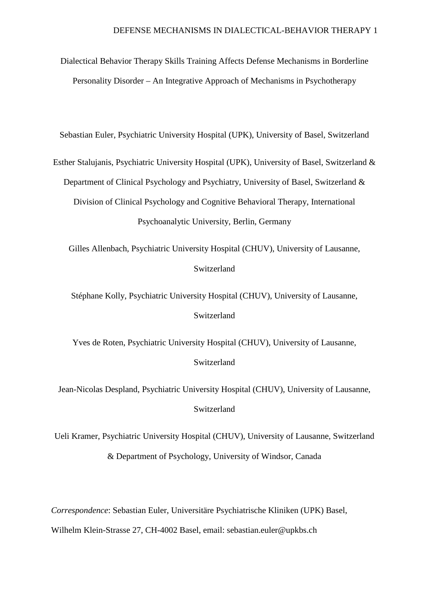Dialectical Behavior Therapy Skills Training Affects Defense Mechanisms in Borderline Personality Disorder – An Integrative Approach of Mechanisms in Psychotherapy

Sebastian Euler, Psychiatric University Hospital (UPK), University of Basel, Switzerland

Esther Stalujanis, Psychiatric University Hospital (UPK), University of Basel, Switzerland & Department of Clinical Psychology and Psychiatry, University of Basel, Switzerland & Division of Clinical Psychology and Cognitive Behavioral Therapy, International Psychoanalytic University, Berlin, Germany

Gilles Allenbach, Psychiatric University Hospital (CHUV), University of Lausanne, Switzerland

Stéphane Kolly, Psychiatric University Hospital (CHUV), University of Lausanne, Switzerland

Yves de Roten, Psychiatric University Hospital (CHUV), University of Lausanne, Switzerland

Jean-Nicolas Despland, Psychiatric University Hospital (CHUV), University of Lausanne, Switzerland

Ueli Kramer, Psychiatric University Hospital (CHUV), University of Lausanne, Switzerland & Department of Psychology, University of Windsor, Canada

*Correspondence*: Sebastian Euler, Universitäre Psychiatrische Kliniken (UPK) Basel,

Wilhelm Klein-Strasse 27, CH-4002 Basel, email: sebastian.euler@upkbs.ch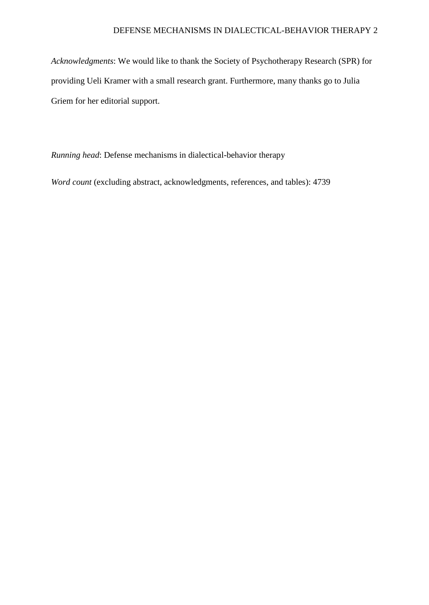*Acknowledgments*: We would like to thank the Society of Psychotherapy Research (SPR) for providing Ueli Kramer with a small research grant. Furthermore, many thanks go to Julia Griem for her editorial support.

*Running head*: Defense mechanisms in dialectical-behavior therapy

*Word count* (excluding abstract, acknowledgments, references, and tables): 4739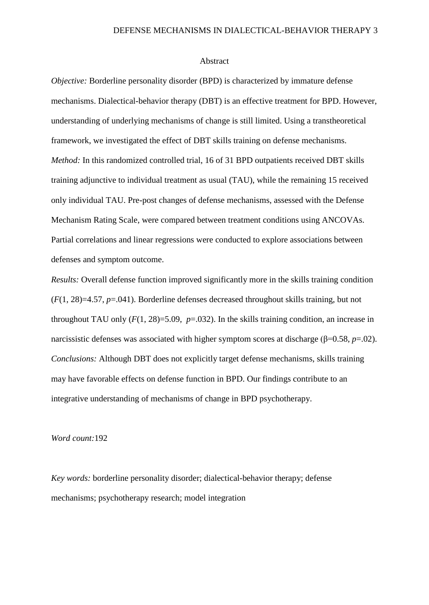#### Abstract

*Objective:* Borderline personality disorder (BPD) is characterized by immature defense mechanisms. Dialectical-behavior therapy (DBT) is an effective treatment for BPD. However, understanding of underlying mechanisms of change is still limited. Using a transtheoretical framework, we investigated the effect of DBT skills training on defense mechanisms. *Method:* In this randomized controlled trial, 16 of 31 BPD outpatients received DBT skills training adjunctive to individual treatment as usual (TAU), while the remaining 15 received only individual TAU. Pre-post changes of defense mechanisms, assessed with the Defense Mechanism Rating Scale, were compared between treatment conditions using ANCOVAs. Partial correlations and linear regressions were conducted to explore associations between defenses and symptom outcome.

*Results:* Overall defense function improved significantly more in the skills training condition (*F*(1, 28)=4.57, *p*=.041). Borderline defenses decreased throughout skills training, but not throughout TAU only  $(F(1, 28)=5.09, p=.032)$ . In the skills training condition, an increase in narcissistic defenses was associated with higher symptom scores at discharge (β=0.58, *p*=.02). *Conclusions:* Although DBT does not explicitly target defense mechanisms, skills training may have favorable effects on defense function in BPD. Our findings contribute to an integrative understanding of mechanisms of change in BPD psychotherapy.

#### *Word count:*192

*Key words:* borderline personality disorder; dialectical-behavior therapy; defense mechanisms; psychotherapy research; model integration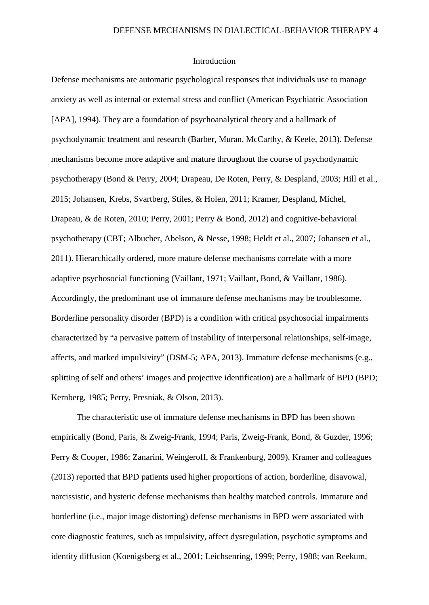## Introduction

Defense mechanisms are automatic psychological responses that individuals use to manage anxiety as well as internal or external stress and conflict (American Psychiatric Association [APA], 1994). They are a foundation of psychoanalytical theory and a hallmark of psychodynamic treatment and research (Barber, Muran, McCarthy, & Keefe, 2013). Defense mechanisms become more adaptive and mature throughout the course of psychodynamic psychotherapy (Bond & Perry, 2004; Drapeau, De Roten, Perry, & Despland, 2003; Hill et al., 2015; Johansen, Krebs, Svartberg, Stiles, & Holen, 2011; Kramer, Despland, Michel, Drapeau, & de Roten, 2010; Perry, 2001; Perry & Bond, 2012) and cognitive-behavioral psychotherapy (CBT; Albucher, Abelson, & Nesse, 1998; Heldt et al., 2007; Johansen et al., 2011). Hierarchically ordered, more mature defense mechanisms correlate with a more adaptive psychosocial functioning (Vaillant, 1971; Vaillant, Bond, & Vaillant, 1986). Accordingly, the predominant use of immature defense mechanisms may be troublesome. Borderline personality disorder (BPD) is a condition with critical psychosocial impairments characterized by "a pervasive pattern of instability of interpersonal relationships, self-image, affects, and marked impulsivity" (DSM-5; APA, 2013). Immature defense mechanisms (e.g., splitting of self and others' images and projective identification) are a hallmark of BPD (BPD; Kernberg, 1985; Perry, Presniak, & Olson, 2013).

The characteristic use of immature defense mechanisms in BPD has been shown empirically (Bond, Paris, & Zweig-Frank, 1994; Paris, Zweig-Frank, Bond, & Guzder, 1996; Perry & Cooper, 1986; Zanarini, Weingeroff, & Frankenburg, 2009). Kramer and colleagues (2013) reported that BPD patients used higher proportions of action, borderline, disavowal, narcissistic, and hysteric defense mechanisms than healthy matched controls. Immature and borderline (i.e., major image distorting) defense mechanisms in BPD were associated with core diagnostic features, such as impulsivity, affect dysregulation, psychotic symptoms and identity diffusion (Koenigsberg et al., 2001; Leichsenring, 1999; Perry, 1988; van Reekum,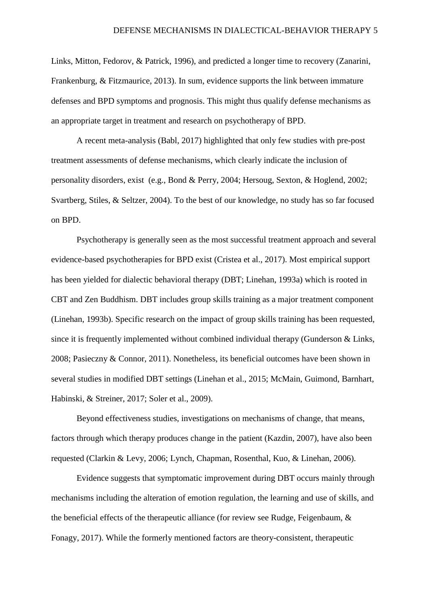Links, Mitton, Fedorov, & Patrick, 1996), and predicted a longer time to recovery (Zanarini, Frankenburg, & Fitzmaurice, 2013). In sum, evidence supports the link between immature defenses and BPD symptoms and prognosis. This might thus qualify defense mechanisms as an appropriate target in treatment and research on psychotherapy of BPD.

A recent meta-analysis (Babl, 2017) highlighted that only few studies with pre-post treatment assessments of defense mechanisms, which clearly indicate the inclusion of personality disorders, exist (e.g., Bond & Perry, 2004; Hersoug, Sexton, & Hoglend, 2002; Svartberg, Stiles, & Seltzer, 2004). To the best of our knowledge, no study has so far focused on BPD.

Psychotherapy is generally seen as the most successful treatment approach and several evidence-based psychotherapies for BPD exist (Cristea et al., 2017). Most empirical support has been yielded for dialectic behavioral therapy (DBT; Linehan, 1993a) which is rooted in CBT and Zen Buddhism. DBT includes group skills training as a major treatment component (Linehan, 1993b). Specific research on the impact of group skills training has been requested, since it is frequently implemented without combined individual therapy (Gunderson & Links, 2008; Pasieczny & Connor, 2011). Nonetheless, its beneficial outcomes have been shown in several studies in modified DBT settings (Linehan et al., 2015; McMain, Guimond, Barnhart, Habinski, & Streiner, 2017; Soler et al., 2009).

Beyond effectiveness studies, investigations on mechanisms of change, that means, factors through which therapy produces change in the patient (Kazdin, 2007), have also been requested (Clarkin & Levy, 2006; Lynch, Chapman, Rosenthal, Kuo, & Linehan, 2006).

Evidence suggests that symptomatic improvement during DBT occurs mainly through mechanisms including the alteration of emotion regulation, the learning and use of skills, and the beneficial effects of the therapeutic alliance (for review see Rudge, Feigenbaum, & Fonagy, 2017). While the formerly mentioned factors are theory-consistent, therapeutic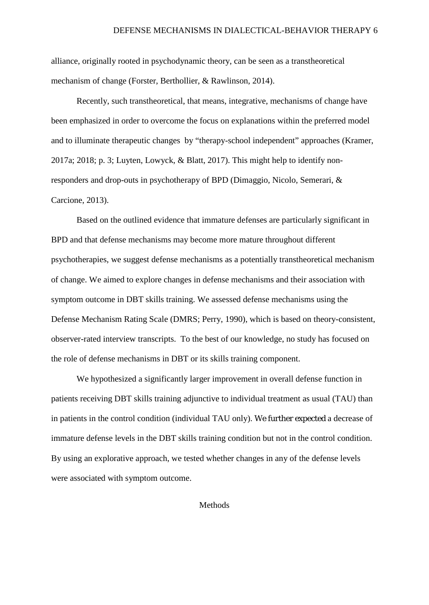alliance, originally rooted in psychodynamic theory, can be seen as a transtheoretical mechanism of change (Forster, Berthollier, & Rawlinson, 2014).

Recently, such transtheoretical, that means, integrative, mechanisms of change have been emphasized in order to overcome the focus on explanations within the preferred model and to illuminate therapeutic changes by "therapy-school independent" approaches (Kramer, 2017a; 2018; p. 3; Luyten, Lowyck, & Blatt, 2017). This might help to identify nonresponders and drop-outs in psychotherapy of BPD (Dimaggio, Nicolo, Semerari, & Carcione, 2013).

Based on the outlined evidence that immature defenses are particularly significant in BPD and that defense mechanisms may become more mature throughout different psychotherapies, we suggest defense mechanisms as a potentially transtheoretical mechanism of change. We aimed to explore changes in defense mechanisms and their association with symptom outcome in DBT skills training. We assessed defense mechanisms using the Defense Mechanism Rating Scale (DMRS; Perry, 1990), which is based on theory-consistent, observer-rated interview transcripts. To the best of our knowledge, no study has focused on the role of defense mechanisms in DBT or its skills training component.

We hypothesized a significantly larger improvement in overall defense function in patients receiving DBT skills training adjunctive to individual treatment as usual (TAU) than in patients in the control condition (individual TAU only). We further expected a decrease of immature defense levels in the DBT skills training condition but not in the control condition. By using an explorative approach, we tested whether changes in any of the defense levels were associated with symptom outcome.

Methods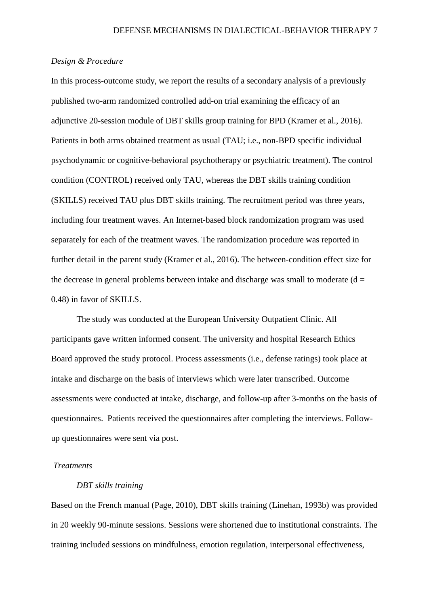## *Design & Procedure*

In this process-outcome study, we report the results of a secondary analysis of a previously published two-arm randomized controlled add-on trial examining the efficacy of an adjunctive 20-session module of DBT skills group training for BPD (Kramer et al., 2016). Patients in both arms obtained treatment as usual (TAU; i.e., non-BPD specific individual psychodynamic or cognitive-behavioral psychotherapy or psychiatric treatment). The control condition (CONTROL) received only TAU, whereas the DBT skills training condition (SKILLS) received TAU plus DBT skills training. The recruitment period was three years, including four treatment waves. An Internet-based block randomization program was used separately for each of the treatment waves. The randomization procedure was reported in further detail in the parent study (Kramer et al., 2016). The between-condition effect size for the decrease in general problems between intake and discharge was small to moderate  $(d =$ 0.48) in favor of SKILLS.

The study was conducted at the European University Outpatient Clinic. All participants gave written informed consent. The university and hospital Research Ethics Board approved the study protocol. Process assessments (i.e., defense ratings) took place at intake and discharge on the basis of interviews which were later transcribed. Outcome assessments were conducted at intake, discharge, and follow-up after 3-months on the basis of questionnaires. Patients received the questionnaires after completing the interviews. Followup questionnaires were sent via post.

#### *Treatments*

### *DBT skills training*

Based on the French manual (Page, 2010), DBT skills training (Linehan, 1993b) was provided in 20 weekly 90-minute sessions. Sessions were shortened due to institutional constraints. The training included sessions on mindfulness, emotion regulation, interpersonal effectiveness,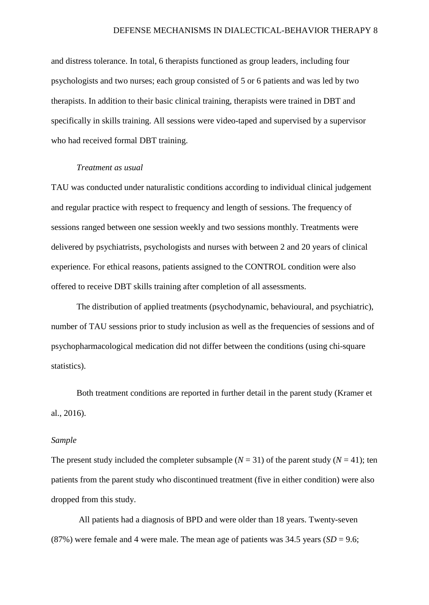and distress tolerance. In total, 6 therapists functioned as group leaders, including four psychologists and two nurses; each group consisted of 5 or 6 patients and was led by two therapists. In addition to their basic clinical training, therapists were trained in DBT and specifically in skills training. All sessions were video-taped and supervised by a supervisor who had received formal DBT training.

## *Treatment as usual*

TAU was conducted under naturalistic conditions according to individual clinical judgement and regular practice with respect to frequency and length of sessions. The frequency of sessions ranged between one session weekly and two sessions monthly. Treatments were delivered by psychiatrists, psychologists and nurses with between 2 and 20 years of clinical experience. For ethical reasons, patients assigned to the CONTROL condition were also offered to receive DBT skills training after completion of all assessments.

The distribution of applied treatments (psychodynamic, behavioural, and psychiatric), number of TAU sessions prior to study inclusion as well as the frequencies of sessions and of psychopharmacological medication did not differ between the conditions (using chi-square statistics).

Both treatment conditions are reported in further detail in the parent study (Kramer et al., 2016).

# *Sample*

The present study included the completer subsample  $(N = 31)$  of the parent study  $(N = 41)$ ; ten patients from the parent study who discontinued treatment (five in either condition) were also dropped from this study.

All patients had a diagnosis of BPD and were older than 18 years. Twenty-seven (87%) were female and 4 were male. The mean age of patients was  $34.5$  years (*SD* = 9.6;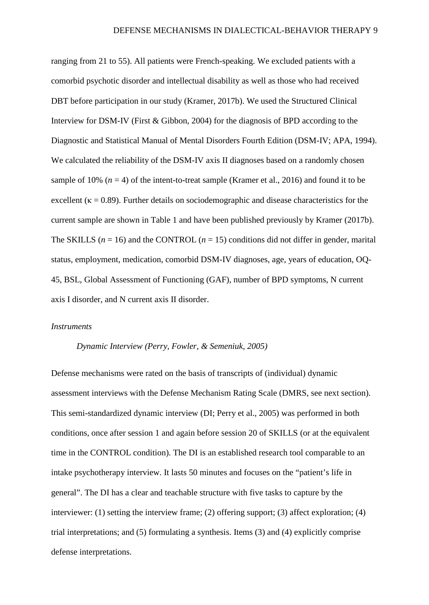ranging from 21 to 55). All patients were French-speaking. We excluded patients with a comorbid psychotic disorder and intellectual disability as well as those who had received DBT before participation in our study (Kramer, 2017b). We used the Structured Clinical Interview for DSM-IV (First & Gibbon, 2004) for the diagnosis of BPD according to the Diagnostic and Statistical Manual of Mental Disorders Fourth Edition (DSM-IV; APA, 1994). We calculated the reliability of the DSM-IV axis II diagnoses based on a randomly chosen sample of 10%  $(n = 4)$  of the intent-to-treat sample (Kramer et al., 2016) and found it to be excellent ( $\kappa = 0.89$ ). Further details on sociodemographic and disease characteristics for the current sample are shown in Table 1 and have been published previously by Kramer (2017b). The SKILLS ( $n = 16$ ) and the CONTROL ( $n = 15$ ) conditions did not differ in gender, marital status, employment, medication, comorbid DSM-IV diagnoses, age, years of education, OQ-45, BSL, Global Assessment of Functioning (GAF), number of BPD symptoms, N current axis I disorder, and N current axis II disorder.

#### *Instruments*

## *Dynamic Interview (Perry, Fowler, & Semeniuk, 2005)*

Defense mechanisms were rated on the basis of transcripts of (individual) dynamic assessment interviews with the Defense Mechanism Rating Scale (DMRS, see next section). This semi-standardized dynamic interview (DI; Perry et al., 2005) was performed in both conditions, once after session 1 and again before session 20 of SKILLS (or at the equivalent time in the CONTROL condition). The DI is an established research tool comparable to an intake psychotherapy interview. It lasts 50 minutes and focuses on the "patient's life in general". The DI has a clear and teachable structure with five tasks to capture by the interviewer: (1) setting the interview frame; (2) offering support; (3) affect exploration; (4) trial interpretations; and (5) formulating a synthesis. Items (3) and (4) explicitly comprise defense interpretations.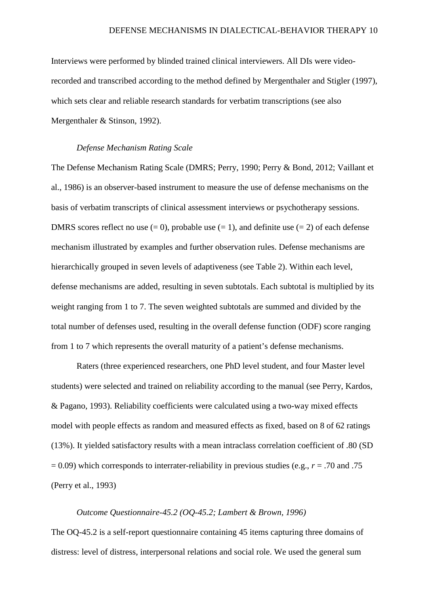Interviews were performed by blinded trained clinical interviewers. All DIs were videorecorded and transcribed according to the method defined by Mergenthaler and Stigler (1997), which sets clear and reliable research standards for verbatim transcriptions (see also Mergenthaler & Stinson, 1992).

#### *Defense Mechanism Rating Scale*

The Defense Mechanism Rating Scale (DMRS; Perry, 1990; Perry & Bond, 2012; Vaillant et al., 1986) is an observer-based instrument to measure the use of defense mechanisms on the basis of verbatim transcripts of clinical assessment interviews or psychotherapy sessions. DMRS scores reflect no use  $(= 0)$ , probable use  $(= 1)$ , and definite use  $(= 2)$  of each defense mechanism illustrated by examples and further observation rules. Defense mechanisms are hierarchically grouped in seven levels of adaptiveness (see Table 2). Within each level, defense mechanisms are added, resulting in seven subtotals. Each subtotal is multiplied by its weight ranging from 1 to 7. The seven weighted subtotals are summed and divided by the total number of defenses used, resulting in the overall defense function (ODF) score ranging from 1 to 7 which represents the overall maturity of a patient's defense mechanisms.

Raters (three experienced researchers, one PhD level student, and four Master level students) were selected and trained on reliability according to the manual (see Perry, Kardos, & Pagano, 1993). Reliability coefficients were calculated using a two-way mixed effects model with people effects as random and measured effects as fixed, based on 8 of 62 ratings (13%). It yielded satisfactory results with a mean intraclass correlation coefficient of .80 (SD = 0.09) which corresponds to interrater-reliability in previous studies (e.g., *r* = .70 and .75 (Perry et al., 1993)

#### *Outcome Questionnaire-45.2 (OQ-45.2; Lambert & Brown, 1996)*

The OQ-45.2 is a self-report questionnaire containing 45 items capturing three domains of distress: level of distress, interpersonal relations and social role. We used the general sum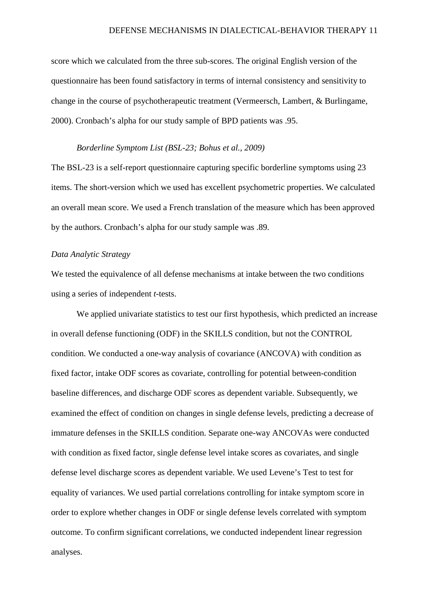score which we calculated from the three sub-scores. The original English version of the questionnaire has been found satisfactory in terms of internal consistency and sensitivity to change in the course of psychotherapeutic treatment (Vermeersch, Lambert, & Burlingame, 2000). Cronbach's alpha for our study sample of BPD patients was .95.

#### *Borderline Symptom List (BSL-23; Bohus et al., 2009)*

The BSL-23 is a self-report questionnaire capturing specific borderline symptoms using 23 items. The short-version which we used has excellent psychometric properties. We calculated an overall mean score. We used a French translation of the measure which has been approved by the authors. Cronbach's alpha for our study sample was .89.

## *Data Analytic Strategy*

We tested the equivalence of all defense mechanisms at intake between the two conditions using a series of independent *t*-tests.

We applied univariate statistics to test our first hypothesis, which predicted an increase in overall defense functioning (ODF) in the SKILLS condition, but not the CONTROL condition. We conducted a one-way analysis of covariance (ANCOVA) with condition as fixed factor, intake ODF scores as covariate, controlling for potential between-condition baseline differences, and discharge ODF scores as dependent variable. Subsequently, we examined the effect of condition on changes in single defense levels, predicting a decrease of immature defenses in the SKILLS condition. Separate one-way ANCOVAs were conducted with condition as fixed factor, single defense level intake scores as covariates, and single defense level discharge scores as dependent variable. We used Levene's Test to test for equality of variances. We used partial correlations controlling for intake symptom score in order to explore whether changes in ODF or single defense levels correlated with symptom outcome. To confirm significant correlations, we conducted independent linear regression analyses.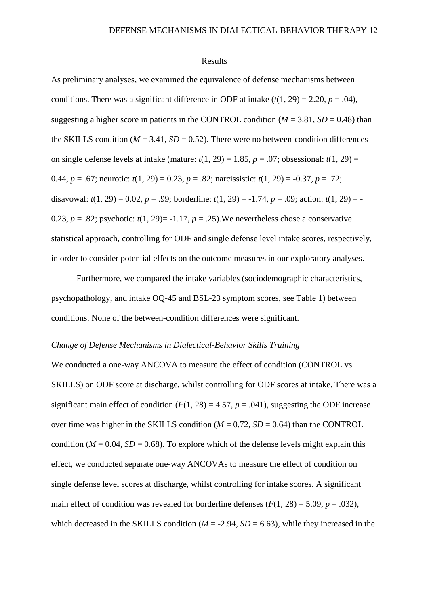### Results

As preliminary analyses, we examined the equivalence of defense mechanisms between conditions. There was a significant difference in ODF at intake  $(t(1, 29) = 2.20, p = .04)$ , suggesting a higher score in patients in the CONTROL condition ( $M = 3.81$ ,  $SD = 0.48$ ) than the SKILLS condition  $(M = 3.41, SD = 0.52)$ . There were no between-condition differences on single defense levels at intake (mature:  $t(1, 29) = 1.85$ ,  $p = .07$ ; obsessional:  $t(1, 29) =$ 0.44, *p* = .67; neurotic: *t*(1, 29) = 0.23, *p* = .82; narcissistic: *t*(1, 29) = -0.37, *p* = .72; disavowal:  $t(1, 29) = 0.02$ ,  $p = .99$ ; borderline:  $t(1, 29) = -1.74$ ,  $p = .09$ ; action:  $t(1, 29) = -1.74$ 0.23,  $p = .82$ ; psychotic:  $t(1, 29) = -1.17$ ,  $p = .25$ ). We nevertheless chose a conservative statistical approach, controlling for ODF and single defense level intake scores, respectively, in order to consider potential effects on the outcome measures in our exploratory analyses.

Furthermore, we compared the intake variables (sociodemographic characteristics, psychopathology, and intake OQ-45 and BSL-23 symptom scores, see Table 1) between conditions. None of the between-condition differences were significant.

## *Change of Defense Mechanisms in Dialectical-Behavior Skills Training*

We conducted a one-way ANCOVA to measure the effect of condition (CONTROL vs. SKILLS) on ODF score at discharge, whilst controlling for ODF scores at intake. There was a significant main effect of condition  $(F(1, 28) = 4.57, p = .041)$ , suggesting the ODF increase over time was higher in the SKILLS condition  $(M = 0.72, SD = 0.64)$  than the CONTROL condition ( $M = 0.04$ ,  $SD = 0.68$ ). To explore which of the defense levels might explain this effect, we conducted separate one-way ANCOVAs to measure the effect of condition on single defense level scores at discharge, whilst controlling for intake scores. A significant main effect of condition was revealed for borderline defenses  $(F(1, 28) = 5.09, p = .032)$ , which decreased in the SKILLS condition  $(M = -2.94, SD = 6.63)$ , while they increased in the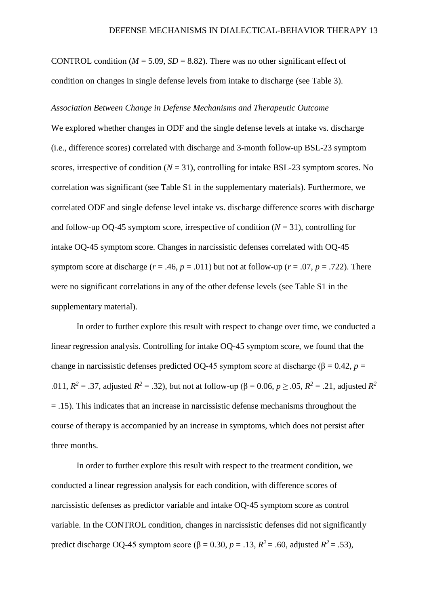CONTROL condition ( $M = 5.09$ ,  $SD = 8.82$ ). There was no other significant effect of condition on changes in single defense levels from intake to discharge (see Table 3).

#### *Association Between Change in Defense Mechanisms and Therapeutic Outcome*

We explored whether changes in ODF and the single defense levels at intake vs. discharge (i.e., difference scores) correlated with discharge and 3-month follow-up BSL-23 symptom scores, irrespective of condition  $(N = 31)$ , controlling for intake BSL-23 symptom scores. No correlation was significant (see Table S1 in the supplementary materials). Furthermore, we correlated ODF and single defense level intake vs. discharge difference scores with discharge and follow-up OQ-45 symptom score, irrespective of condition  $(N = 31)$ , controlling for intake OQ-45 symptom score. Changes in narcissistic defenses correlated with OQ-45 symptom score at discharge ( $r = .46$ ,  $p = .011$ ) but not at follow-up ( $r = .07$ ,  $p = .722$ ). There were no significant correlations in any of the other defense levels (see Table S1 in the supplementary material).

In order to further explore this result with respect to change over time, we conducted a linear regression analysis. Controlling for intake OQ-45 symptom score, we found that the change in narcissistic defenses predicted OQ-45 symptom score at discharge ( $\beta$  = 0.42, *p* = .011,  $R^2 = .37$ , adjusted  $R^2 = .32$ ), but not at follow-up ( $\beta = 0.06$ ,  $p \ge .05$ ,  $R^2 = .21$ , adjusted  $R^2$ = .15). This indicates that an increase in narcissistic defense mechanisms throughout the course of therapy is accompanied by an increase in symptoms, which does not persist after three months.

In order to further explore this result with respect to the treatment condition, we conducted a linear regression analysis for each condition, with difference scores of narcissistic defenses as predictor variable and intake OQ-45 symptom score as control variable. In the CONTROL condition, changes in narcissistic defenses did not significantly predict discharge OQ-45 symptom score ( $\beta$  = 0.30,  $p$  = .13,  $R^2$  = .60, adjusted  $R^2$  = .53),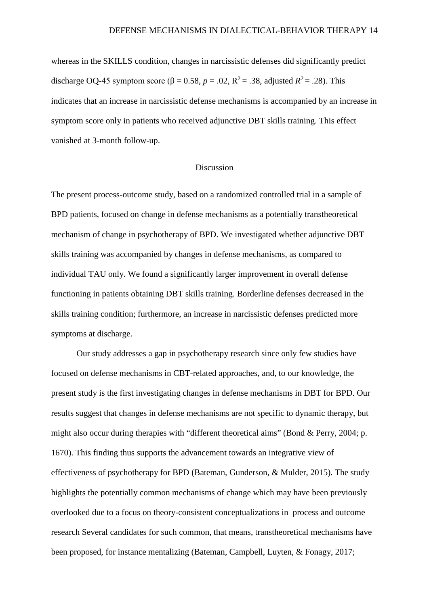whereas in the SKILLS condition, changes in narcissistic defenses did significantly predict discharge OQ-45 symptom score ( $\beta = 0.58$ ,  $p = .02$ ,  $R^2 = .38$ , adjusted  $R^2 = .28$ ). This indicates that an increase in narcissistic defense mechanisms is accompanied by an increase in symptom score only in patients who received adjunctive DBT skills training. This effect vanished at 3-month follow-up.

## Discussion

The present process-outcome study, based on a randomized controlled trial in a sample of BPD patients, focused on change in defense mechanisms as a potentially transtheoretical mechanism of change in psychotherapy of BPD. We investigated whether adjunctive DBT skills training was accompanied by changes in defense mechanisms, as compared to individual TAU only. We found a significantly larger improvement in overall defense functioning in patients obtaining DBT skills training. Borderline defenses decreased in the skills training condition; furthermore, an increase in narcissistic defenses predicted more symptoms at discharge.

Our study addresses a gap in psychotherapy research since only few studies have focused on defense mechanisms in CBT-related approaches, and, to our knowledge, the present study is the first investigating changes in defense mechanisms in DBT for BPD. Our results suggest that changes in defense mechanisms are not specific to dynamic therapy, but might also occur during therapies with "different theoretical aims" (Bond & Perry, 2004; p. 1670). This finding thus supports the advancement towards an integrative view of effectiveness of psychotherapy for BPD (Bateman, Gunderson, & Mulder, 2015). The study highlights the potentially common mechanisms of change which may have been previously overlooked due to a focus on theory-consistent conceptualizations in process and outcome research Several candidates for such common, that means, transtheoretical mechanisms have been proposed, for instance mentalizing (Bateman, Campbell, Luyten, & Fonagy, 2017;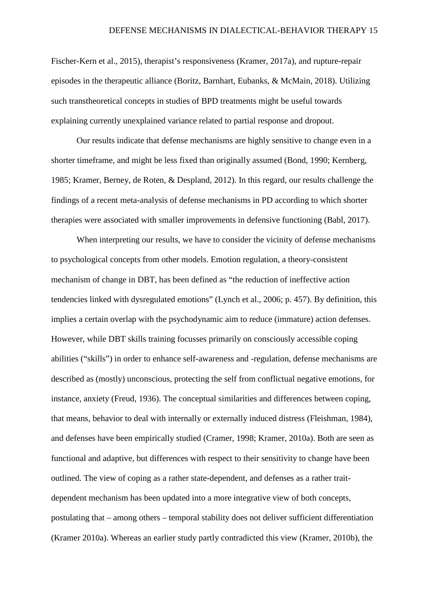Fischer-Kern et al., 2015), therapist's responsiveness (Kramer, 2017a), and rupture-repair episodes in the therapeutic alliance (Boritz, Barnhart, Eubanks, & McMain, 2018). Utilizing such transtheoretical concepts in studies of BPD treatments might be useful towards explaining currently unexplained variance related to partial response and dropout.

Our results indicate that defense mechanisms are highly sensitive to change even in a shorter timeframe, and might be less fixed than originally assumed (Bond, 1990; Kernberg, 1985; Kramer, Berney, de Roten, & Despland, 2012). In this regard, our results challenge the findings of a recent meta-analysis of defense mechanisms in PD according to which shorter therapies were associated with smaller improvements in defensive functioning (Babl, 2017).

When interpreting our results, we have to consider the vicinity of defense mechanisms to psychological concepts from other models. Emotion regulation, a theory-consistent mechanism of change in DBT, has been defined as "the reduction of ineffective action tendencies linked with dysregulated emotions" (Lynch et al., 2006; p. 457). By definition, this implies a certain overlap with the psychodynamic aim to reduce (immature) action defenses. However, while DBT skills training focusses primarily on consciously accessible coping abilities ("skills") in order to enhance self-awareness and -regulation, defense mechanisms are described as (mostly) unconscious, protecting the self from conflictual negative emotions, for instance, anxiety (Freud, 1936). The conceptual similarities and differences between coping, that means, behavior to deal with internally or externally induced distress (Fleishman, 1984), and defenses have been empirically studied (Cramer, 1998; Kramer, 2010a). Both are seen as functional and adaptive, but differences with respect to their sensitivity to change have been outlined. The view of coping as a rather state-dependent, and defenses as a rather traitdependent mechanism has been updated into a more integrative view of both concepts, postulating that – among others – temporal stability does not deliver sufficient differentiation (Kramer 2010a). Whereas an earlier study partly contradicted this view (Kramer, 2010b), the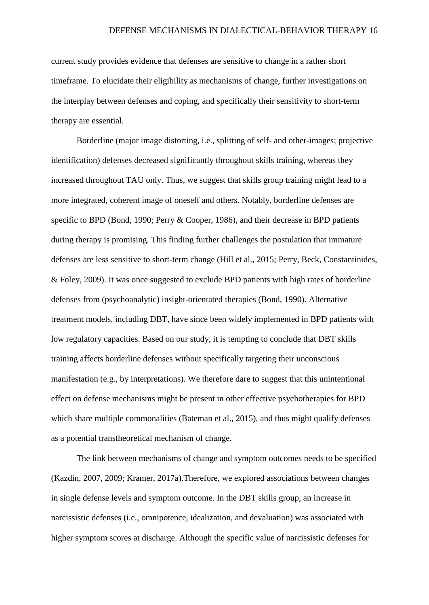current study provides evidence that defenses are sensitive to change in a rather short timeframe. To elucidate their eligibility as mechanisms of change, further investigations on the interplay between defenses and coping, and specifically their sensitivity to short-term therapy are essential.

Borderline (major image distorting, i.e., splitting of self- and other-images; projective identification) defenses decreased significantly throughout skills training, whereas they increased throughout TAU only. Thus, we suggest that skills group training might lead to a more integrated, coherent image of oneself and others. Notably, borderline defenses are specific to BPD (Bond, 1990; Perry & Cooper, 1986), and their decrease in BPD patients during therapy is promising. This finding further challenges the postulation that immature defenses are less sensitive to short-term change (Hill et al., 2015; Perry, Beck, Constantinides, & Foley, 2009). It was once suggested to exclude BPD patients with high rates of borderline defenses from (psychoanalytic) insight-orientated therapies (Bond, 1990). Alternative treatment models, including DBT, have since been widely implemented in BPD patients with low regulatory capacities. Based on our study, it is tempting to conclude that DBT skills training affects borderline defenses without specifically targeting their unconscious manifestation (e.g., by interpretations). We therefore dare to suggest that this unintentional effect on defense mechanisms might be present in other effective psychotherapies for BPD which share multiple commonalities (Bateman et al., 2015), and thus might qualify defenses as a potential transtheoretical mechanism of change.

The link between mechanisms of change and symptom outcomes needs to be specified (Kazdin, 2007, 2009; Kramer, 2017a).Therefore, we explored associations between changes in single defense levels and symptom outcome. In the DBT skills group, an increase in narcissistic defenses (i.e., omnipotence, idealization, and devaluation) was associated with higher symptom scores at discharge. Although the specific value of narcissistic defenses for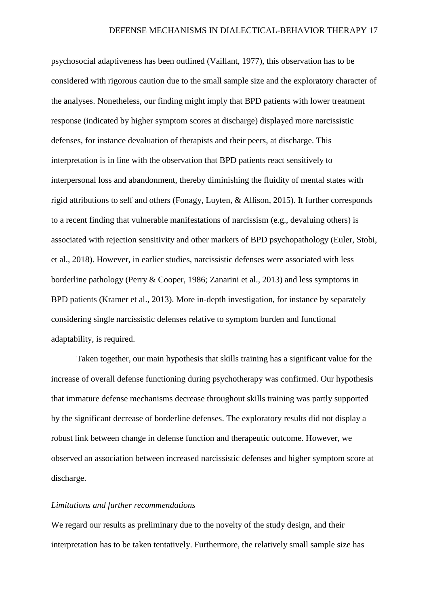psychosocial adaptiveness has been outlined (Vaillant, 1977), this observation has to be considered with rigorous caution due to the small sample size and the exploratory character of the analyses. Nonetheless, our finding might imply that BPD patients with lower treatment response (indicated by higher symptom scores at discharge) displayed more narcissistic defenses, for instance devaluation of therapists and their peers, at discharge. This interpretation is in line with the observation that BPD patients react sensitively to interpersonal loss and abandonment, thereby diminishing the fluidity of mental states with rigid attributions to self and others (Fonagy, Luyten, & Allison, 2015). It further corresponds to a recent finding that vulnerable manifestations of narcissism (e.g., devaluing others) is associated with rejection sensitivity and other markers of BPD psychopathology (Euler, Stobi, et al., 2018). However, in earlier studies, narcissistic defenses were associated with less borderline pathology (Perry & Cooper, 1986; Zanarini et al., 2013) and less symptoms in BPD patients (Kramer et al., 2013). More in-depth investigation, for instance by separately considering single narcissistic defenses relative to symptom burden and functional adaptability, is required.

Taken together, our main hypothesis that skills training has a significant value for the increase of overall defense functioning during psychotherapy was confirmed. Our hypothesis that immature defense mechanisms decrease throughout skills training was partly supported by the significant decrease of borderline defenses. The exploratory results did not display a robust link between change in defense function and therapeutic outcome. However, we observed an association between increased narcissistic defenses and higher symptom score at discharge.

## *Limitations and further recommendations*

We regard our results as preliminary due to the novelty of the study design, and their interpretation has to be taken tentatively. Furthermore, the relatively small sample size has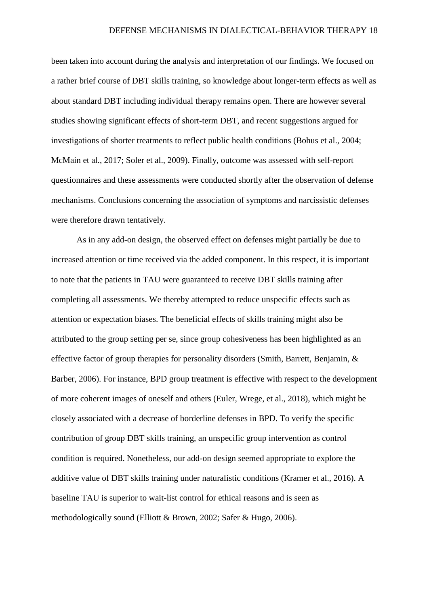been taken into account during the analysis and interpretation of our findings. We focused on a rather brief course of DBT skills training, so knowledge about longer-term effects as well as about standard DBT including individual therapy remains open. There are however several studies showing significant effects of short-term DBT, and recent suggestions argued for investigations of shorter treatments to reflect public health conditions (Bohus et al., 2004; McMain et al., 2017; Soler et al., 2009). Finally, outcome was assessed with self-report questionnaires and these assessments were conducted shortly after the observation of defense mechanisms. Conclusions concerning the association of symptoms and narcissistic defenses were therefore drawn tentatively.

As in any add-on design, the observed effect on defenses might partially be due to increased attention or time received via the added component. In this respect, it is important to note that the patients in TAU were guaranteed to receive DBT skills training after completing all assessments. We thereby attempted to reduce unspecific effects such as attention or expectation biases. The beneficial effects of skills training might also be attributed to the group setting per se, since group cohesiveness has been highlighted as an effective factor of group therapies for personality disorders (Smith, Barrett, Benjamin, & Barber, 2006). For instance, BPD group treatment is effective with respect to the development of more coherent images of oneself and others (Euler, Wrege, et al., 2018), which might be closely associated with a decrease of borderline defenses in BPD. To verify the specific contribution of group DBT skills training, an unspecific group intervention as control condition is required. Nonetheless, our add-on design seemed appropriate to explore the additive value of DBT skills training under naturalistic conditions (Kramer et al., 2016). A baseline TAU is superior to wait-list control for ethical reasons and is seen as methodologically sound (Elliott & Brown, 2002; Safer & Hugo, 2006).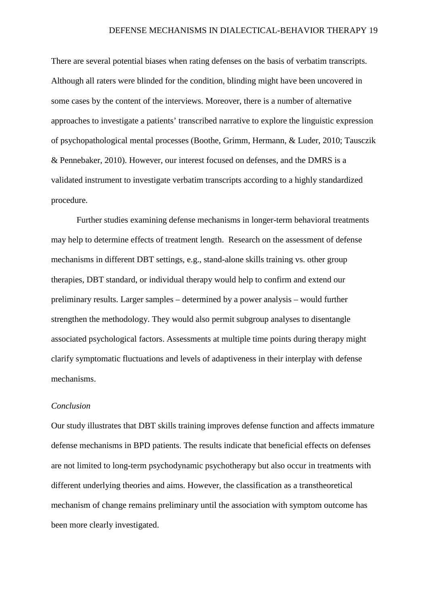There are several potential biases when rating defenses on the basis of verbatim transcripts. Although all raters were blinded for the condition, blinding might have been uncovered in some cases by the content of the interviews. Moreover, there is a number of alternative approaches to investigate a patients' transcribed narrative to explore the linguistic expression of psychopathological mental processes (Boothe, Grimm, Hermann, & Luder, 2010; Tausczik & Pennebaker, 2010). However, our interest focused on defenses, and the DMRS is a validated instrument to investigate verbatim transcripts according to a highly standardized procedure.

Further studies examining defense mechanisms in longer-term behavioral treatments may help to determine effects of treatment length. Research on the assessment of defense mechanisms in different DBT settings, e.g., stand-alone skills training vs. other group therapies, DBT standard, or individual therapy would help to confirm and extend our preliminary results. Larger samples – determined by a power analysis – would further strengthen the methodology. They would also permit subgroup analyses to disentangle associated psychological factors. Assessments at multiple time points during therapy might clarify symptomatic fluctuations and levels of adaptiveness in their interplay with defense mechanisms.

## *Conclusion*

Our study illustrates that DBT skills training improves defense function and affects immature defense mechanisms in BPD patients. The results indicate that beneficial effects on defenses are not limited to long-term psychodynamic psychotherapy but also occur in treatments with different underlying theories and aims. However, the classification as a transtheoretical mechanism of change remains preliminary until the association with symptom outcome has been more clearly investigated.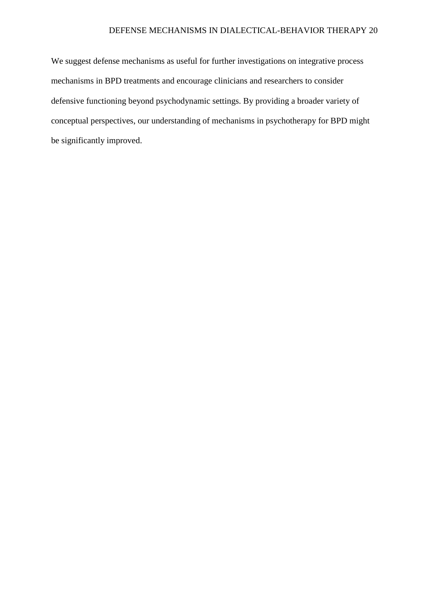## DEFENSE MECHANISMS IN DIALECTICAL-BEHAVIOR THERAPY 20

We suggest defense mechanisms as useful for further investigations on integrative process mechanisms in BPD treatments and encourage clinicians and researchers to consider defensive functioning beyond psychodynamic settings. By providing a broader variety of conceptual perspectives, our understanding of mechanisms in psychotherapy for BPD might be significantly improved.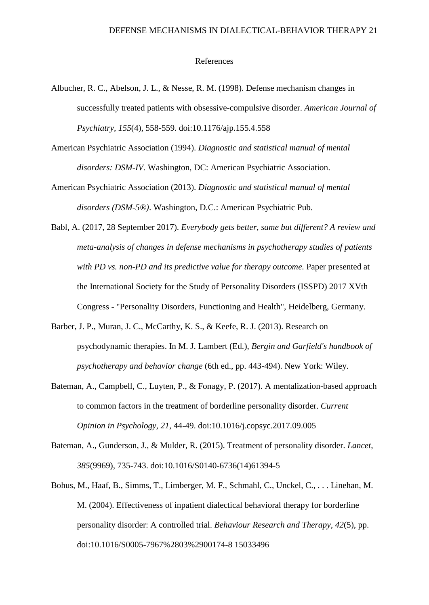## References

- Albucher, R. C., Abelson, J. L., & Nesse, R. M. (1998). Defense mechanism changes in successfully treated patients with obsessive-compulsive disorder. *American Journal of Psychiatry, 155*(4), 558-559. doi:10.1176/ajp.155.4.558
- American Psychiatric Association (1994). *Diagnostic and statistical manual of mental disorders: DSM-IV.* Washington, DC: American Psychiatric Association.
- American Psychiatric Association (2013). *Diagnostic and statistical manual of mental disorders (DSM-5®)*. Washington, D.C.: American Psychiatric Pub.
- Babl, A. (2017, 28 September 2017). *Everybody gets better, same but different? A review and meta-analysis of changes in defense mechanisms in psychotherapy studies of patients with PD vs. non-PD and its predictive value for therapy outcome.* Paper presented at the International Society for the Study of Personality Disorders (ISSPD) 2017 XVth Congress - "Personality Disorders, Functioning and Health", Heidelberg, Germany.
- Barber, J. P., Muran, J. C., McCarthy, K. S., & Keefe, R. J. (2013). Research on psychodynamic therapies. In M. J. Lambert (Ed.), *Bergin and Garfield's handbook of psychotherapy and behavior change* (6th ed., pp. 443-494). New York: Wiley.
- Bateman, A., Campbell, C., Luyten, P., & Fonagy, P. (2017). A mentalization-based approach to common factors in the treatment of borderline personality disorder. *Current Opinion in Psychology, 21*, 44-49. doi:10.1016/j.copsyc.2017.09.005
- Bateman, A., Gunderson, J., & Mulder, R. (2015). Treatment of personality disorder. *Lancet, 385*(9969), 735-743. doi:10.1016/S0140-6736(14)61394-5
- Bohus, M., Haaf, B., Simms, T., Limberger, M. F., Schmahl, C., Unckel, C., . . . Linehan, M. M. (2004). Effectiveness of inpatient dialectical behavioral therapy for borderline personality disorder: A controlled trial. *Behaviour Research and Therapy, 42*(5), pp. doi:10.1016/S0005-7967%2803%2900174-8 15033496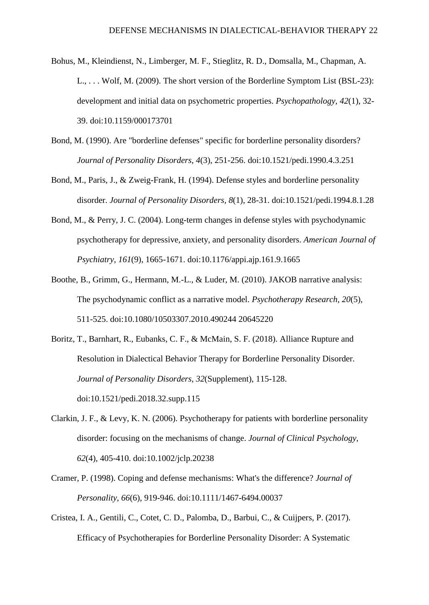- Bohus, M., Kleindienst, N., Limberger, M. F., Stieglitz, R. D., Domsalla, M., Chapman, A. L., . . . Wolf, M. (2009). The short version of the Borderline Symptom List (BSL-23): development and initial data on psychometric properties. *Psychopathology, 42*(1), 32- 39. doi:10.1159/000173701
- Bond, M. (1990). Are "borderline defenses" specific for borderline personality disorders? *Journal of Personality Disorders, 4*(3), 251-256. doi:10.1521/pedi.1990.4.3.251
- Bond, M., Paris, J., & Zweig-Frank, H. (1994). Defense styles and borderline personality disorder. *Journal of Personality Disorders, 8*(1), 28-31. doi:10.1521/pedi.1994.8.1.28
- Bond, M., & Perry, J. C. (2004). Long-term changes in defense styles with psychodynamic psychotherapy for depressive, anxiety, and personality disorders. *American Journal of Psychiatry, 161*(9), 1665-1671. doi:10.1176/appi.ajp.161.9.1665
- Boothe, B., Grimm, G., Hermann, M.-L., & Luder, M. (2010). JAKOB narrative analysis: The psychodynamic conflict as a narrative model. *Psychotherapy Research, 20*(5), 511-525. doi:10.1080/10503307.2010.490244 20645220
- Boritz, T., Barnhart, R., Eubanks, C. F., & McMain, S. F. (2018). Alliance Rupture and Resolution in Dialectical Behavior Therapy for Borderline Personality Disorder. *Journal of Personality Disorders, 32*(Supplement), 115-128. doi:10.1521/pedi.2018.32.supp.115
- Clarkin, J. F., & Levy, K. N. (2006). Psychotherapy for patients with borderline personality disorder: focusing on the mechanisms of change. *Journal of Clinical Psychology, 62*(4), 405-410. doi:10.1002/jclp.20238
- Cramer, P. (1998). Coping and defense mechanisms: What's the difference? *Journal of Personality, 66*(6), 919-946. doi:10.1111/1467-6494.00037
- Cristea, I. A., Gentili, C., Cotet, C. D., Palomba, D., Barbui, C., & Cuijpers, P. (2017). Efficacy of Psychotherapies for Borderline Personality Disorder: A Systematic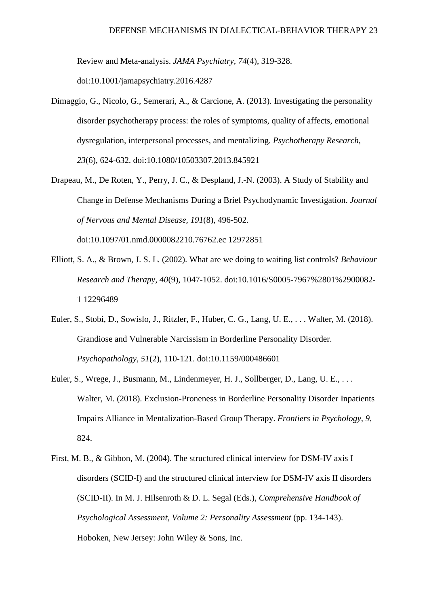Review and Meta-analysis. *JAMA Psychiatry, 74*(4), 319-328.

doi:10.1001/jamapsychiatry.2016.4287

- Dimaggio, G., Nicolo, G., Semerari, A., & Carcione, A. (2013). Investigating the personality disorder psychotherapy process: the roles of symptoms, quality of affects, emotional dysregulation, interpersonal processes, and mentalizing. *Psychotherapy Research, 23*(6), 624-632. doi:10.1080/10503307.2013.845921
- Drapeau, M., De Roten, Y., Perry, J. C., & Despland, J.-N. (2003). A Study of Stability and Change in Defense Mechanisms During a Brief Psychodynamic Investigation. *Journal of Nervous and Mental Disease, 191*(8), 496-502. doi:10.1097/01.nmd.0000082210.76762.ec 12972851
- Elliott, S. A., & Brown, J. S. L. (2002). What are we doing to waiting list controls? *Behaviour Research and Therapy, 40*(9), 1047-1052. doi:10.1016/S0005-7967%2801%2900082- 1 12296489
- Euler, S., Stobi, D., Sowislo, J., Ritzler, F., Huber, C. G., Lang, U. E., . . . Walter, M. (2018). Grandiose and Vulnerable Narcissism in Borderline Personality Disorder. *Psychopathology, 51*(2), 110-121. doi:10.1159/000486601
- Euler, S., Wrege, J., Busmann, M., Lindenmeyer, H. J., Sollberger, D., Lang, U. E., ... Walter, M. (2018). Exclusion-Proneness in Borderline Personality Disorder Inpatients Impairs Alliance in Mentalization-Based Group Therapy. *Frontiers in Psychology, 9*, 824.
- First, M. B., & Gibbon, M. (2004). The structured clinical interview for DSM-IV axis I disorders (SCID-I) and the structured clinical interview for DSM-IV axis II disorders (SCID-II). In M. J. Hilsenroth & D. L. Segal (Eds.), *Comprehensive Handbook of Psychological Assessment, Volume 2: Personality Assessment* (pp. 134-143). Hoboken, New Jersey: John Wiley & Sons, Inc.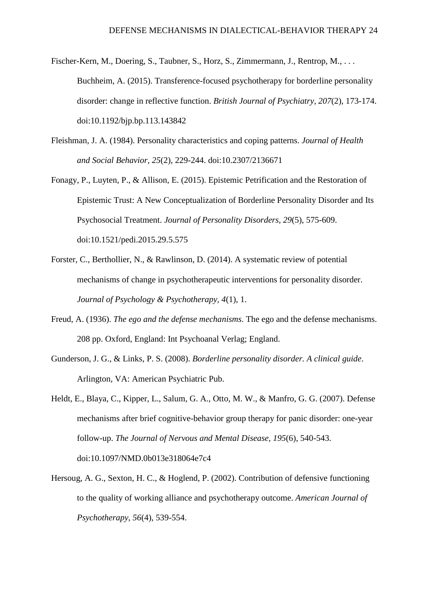- Fischer-Kern, M., Doering, S., Taubner, S., Horz, S., Zimmermann, J., Rentrop, M., ... Buchheim, A. (2015). Transference-focused psychotherapy for borderline personality disorder: change in reflective function. *British Journal of Psychiatry, 207*(2), 173-174. doi:10.1192/bjp.bp.113.143842
- Fleishman, J. A. (1984). Personality characteristics and coping patterns. *Journal of Health and Social Behavior, 25*(2), 229-244. doi:10.2307/2136671
- Fonagy, P., Luyten, P., & Allison, E. (2015). Epistemic Petrification and the Restoration of Epistemic Trust: A New Conceptualization of Borderline Personality Disorder and Its Psychosocial Treatment. *Journal of Personality Disorders, 29*(5), 575-609. doi:10.1521/pedi.2015.29.5.575
- Forster, C., Berthollier, N., & Rawlinson, D. (2014). A systematic review of potential mechanisms of change in psychotherapeutic interventions for personality disorder. *Journal of Psychology & Psychotherapy, 4*(1), 1.
- Freud, A. (1936). *The ego and the defense mechanisms*. The ego and the defense mechanisms. 208 pp. Oxford, England: Int Psychoanal Verlag; England.
- Gunderson, J. G., & Links, P. S. (2008). *Borderline personality disorder. A clinical guide*. Arlington, VA: American Psychiatric Pub.
- Heldt, E., Blaya, C., Kipper, L., Salum, G. A., Otto, M. W., & Manfro, G. G. (2007). Defense mechanisms after brief cognitive-behavior group therapy for panic disorder: one-year follow-up. *The Journal of Nervous and Mental Disease, 195*(6), 540-543. doi:10.1097/NMD.0b013e318064e7c4
- Hersoug, A. G., Sexton, H. C., & Hoglend, P. (2002). Contribution of defensive functioning to the quality of working alliance and psychotherapy outcome. *American Journal of Psychotherapy, 56*(4), 539-554.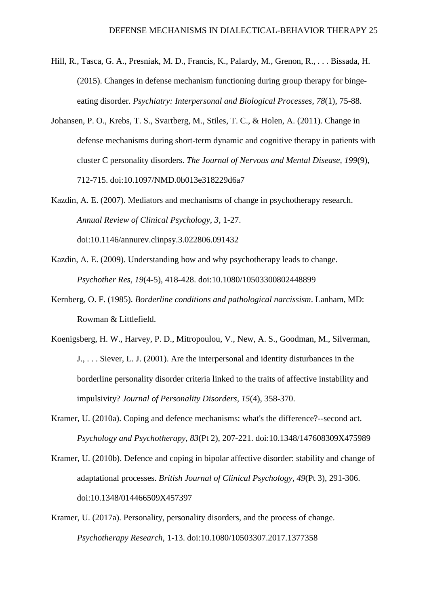- Hill, R., Tasca, G. A., Presniak, M. D., Francis, K., Palardy, M., Grenon, R., . . . Bissada, H. (2015). Changes in defense mechanism functioning during group therapy for bingeeating disorder. *Psychiatry: Interpersonal and Biological Processes, 78*(1), 75-88.
- Johansen, P. O., Krebs, T. S., Svartberg, M., Stiles, T. C., & Holen, A. (2011). Change in defense mechanisms during short-term dynamic and cognitive therapy in patients with cluster C personality disorders. *The Journal of Nervous and Mental Disease, 199*(9), 712-715. doi:10.1097/NMD.0b013e318229d6a7
- Kazdin, A. E. (2007). Mediators and mechanisms of change in psychotherapy research. *Annual Review of Clinical Psychology, 3*, 1-27. doi:10.1146/annurev.clinpsy.3.022806.091432
- Kazdin, A. E. (2009). Understanding how and why psychotherapy leads to change. *Psychother Res, 19*(4-5), 418-428. doi:10.1080/10503300802448899
- Kernberg, O. F. (1985). *Borderline conditions and pathological narcissism*. Lanham, MD: Rowman & Littlefield.
- Koenigsberg, H. W., Harvey, P. D., Mitropoulou, V., New, A. S., Goodman, M., Silverman, J., . . . Siever, L. J. (2001). Are the interpersonal and identity disturbances in the borderline personality disorder criteria linked to the traits of affective instability and impulsivity? *Journal of Personality Disorders, 15*(4), 358-370.
- Kramer, U. (2010a). Coping and defence mechanisms: what's the difference?--second act. *Psychology and Psychotherapy, 83*(Pt 2), 207-221. doi:10.1348/147608309X475989
- Kramer, U. (2010b). Defence and coping in bipolar affective disorder: stability and change of adaptational processes. *British Journal of Clinical Psychology, 49*(Pt 3), 291-306. doi:10.1348/014466509X457397
- Kramer, U. (2017a). Personality, personality disorders, and the process of change. *Psychotherapy Research*, 1-13. doi:10.1080/10503307.2017.1377358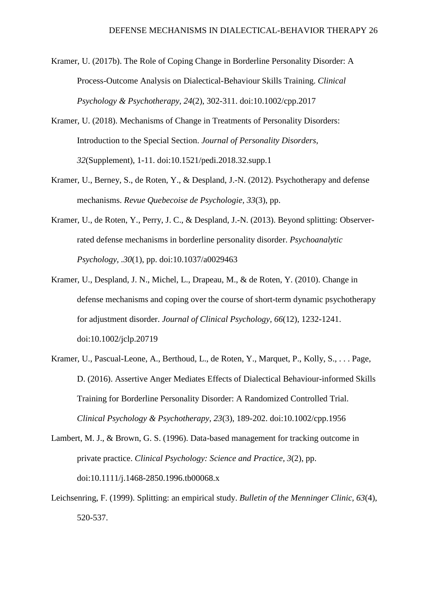- Kramer, U. (2017b). The Role of Coping Change in Borderline Personality Disorder: A Process-Outcome Analysis on Dialectical-Behaviour Skills Training. *Clinical Psychology & Psychotherapy, 24*(2), 302-311. doi:10.1002/cpp.2017
- Kramer, U. (2018). Mechanisms of Change in Treatments of Personality Disorders: Introduction to the Special Section. *Journal of Personality Disorders, 32*(Supplement), 1-11. doi:10.1521/pedi.2018.32.supp.1
- Kramer, U., Berney, S., de Roten, Y., & Despland, J.-N. (2012). Psychotherapy and defense mechanisms. *Revue Quebecoise de Psychologie, 33*(3), pp.
- Kramer, U., de Roten, Y., Perry, J. C., & Despland, J.-N. (2013). Beyond splitting: Observerrated defense mechanisms in borderline personality disorder. *Psychoanalytic Psychology, .30*(1), pp. doi:10.1037/a0029463
- Kramer, U., Despland, J. N., Michel, L., Drapeau, M., & de Roten, Y. (2010). Change in defense mechanisms and coping over the course of short-term dynamic psychotherapy for adjustment disorder. *Journal of Clinical Psychology, 66*(12), 1232-1241. doi:10.1002/jclp.20719
- Kramer, U., Pascual-Leone, A., Berthoud, L., de Roten, Y., Marquet, P., Kolly, S., . . . Page, D. (2016). Assertive Anger Mediates Effects of Dialectical Behaviour-informed Skills Training for Borderline Personality Disorder: A Randomized Controlled Trial. *Clinical Psychology & Psychotherapy, 23*(3), 189-202. doi:10.1002/cpp.1956
- Lambert, M. J., & Brown, G. S. (1996). Data-based management for tracking outcome in private practice. *Clinical Psychology: Science and Practice, 3*(2), pp. doi:10.1111/j.1468-2850.1996.tb00068.x
- Leichsenring, F. (1999). Splitting: an empirical study. *Bulletin of the Menninger Clinic, 63*(4), 520-537.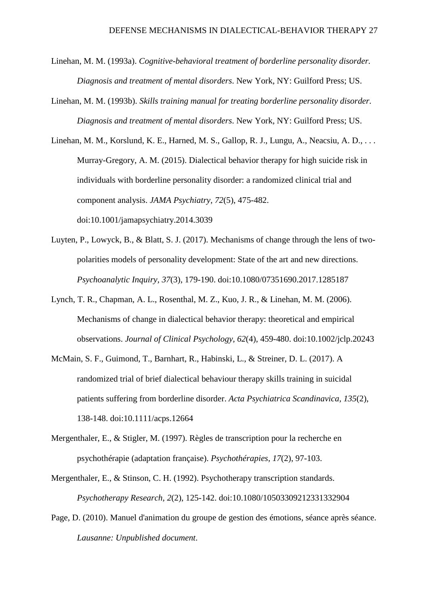- Linehan, M. M. (1993a). *Cognitive-behavioral treatment of borderline personality disorder. Diagnosis and treatment of mental disorders*. New York, NY: Guilford Press; US.
- Linehan, M. M. (1993b). *Skills training manual for treating borderline personality disorder. Diagnosis and treatment of mental disorders*. New York, NY: Guilford Press; US.

Linehan, M. M., Korslund, K. E., Harned, M. S., Gallop, R. J., Lungu, A., Neacsiu, A. D., . . . Murray-Gregory, A. M. (2015). Dialectical behavior therapy for high suicide risk in individuals with borderline personality disorder: a randomized clinical trial and component analysis. *JAMA Psychiatry, 72*(5), 475-482. doi:10.1001/jamapsychiatry.2014.3039

- Luyten, P., Lowyck, B., & Blatt, S. J. (2017). Mechanisms of change through the lens of twopolarities models of personality development: State of the art and new directions. *Psychoanalytic Inquiry, 37*(3), 179-190. doi:10.1080/07351690.2017.1285187
- Lynch, T. R., Chapman, A. L., Rosenthal, M. Z., Kuo, J. R., & Linehan, M. M. (2006). Mechanisms of change in dialectical behavior therapy: theoretical and empirical observations. *Journal of Clinical Psychology, 62*(4), 459-480. doi:10.1002/jclp.20243
- McMain, S. F., Guimond, T., Barnhart, R., Habinski, L., & Streiner, D. L. (2017). A randomized trial of brief dialectical behaviour therapy skills training in suicidal patients suffering from borderline disorder. *Acta Psychiatrica Scandinavica, 135*(2), 138-148. doi:10.1111/acps.12664
- Mergenthaler, E., & Stigler, M. (1997). Règles de transcription pour la recherche en psychothérapie (adaptation française). *Psychothérapies, 17*(2), 97-103.
- Mergenthaler, E., & Stinson, C. H. (1992). Psychotherapy transcription standards. *Psychotherapy Research, 2*(2), 125-142. doi:10.1080/10503309212331332904
- Page, D. (2010). Manuel d'animation du groupe de gestion des émotions, séance après séance. *Lausanne: Unpublished document*.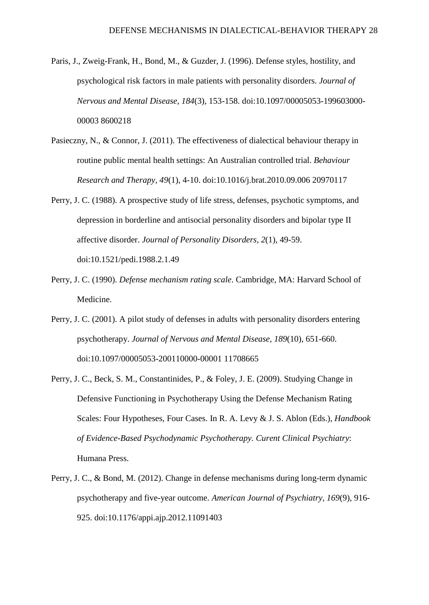- Paris, J., Zweig-Frank, H., Bond, M., & Guzder, J. (1996). Defense styles, hostility, and psychological risk factors in male patients with personality disorders. *Journal of Nervous and Mental Disease, 184*(3), 153-158. doi:10.1097/00005053-199603000- 00003 8600218
- Pasieczny, N., & Connor, J. (2011). The effectiveness of dialectical behaviour therapy in routine public mental health settings: An Australian controlled trial. *Behaviour Research and Therapy, 49*(1), 4-10. doi:10.1016/j.brat.2010.09.006 20970117
- Perry, J. C. (1988). A prospective study of life stress, defenses, psychotic symptoms, and depression in borderline and antisocial personality disorders and bipolar type II affective disorder. *Journal of Personality Disorders, 2*(1), 49-59. doi:10.1521/pedi.1988.2.1.49
- Perry, J. C. (1990). *Defense mechanism rating scale*. Cambridge, MA: Harvard School of Medicine.
- Perry, J. C. (2001). A pilot study of defenses in adults with personality disorders entering psychotherapy. *Journal of Nervous and Mental Disease, 189*(10), 651-660. doi:10.1097/00005053-200110000-00001 11708665
- Perry, J. C., Beck, S. M., Constantinides, P., & Foley, J. E. (2009). Studying Change in Defensive Functioning in Psychotherapy Using the Defense Mechanism Rating Scales: Four Hypotheses, Four Cases. In R. A. Levy & J. S. Ablon (Eds.), *Handbook of Evidence-Based Psychodynamic Psychotherapy. Curent Clinical Psychiatry*: Humana Press.
- Perry, J. C., & Bond, M. (2012). Change in defense mechanisms during long-term dynamic psychotherapy and five-year outcome. *American Journal of Psychiatry, 169*(9), 916- 925. doi:10.1176/appi.ajp.2012.11091403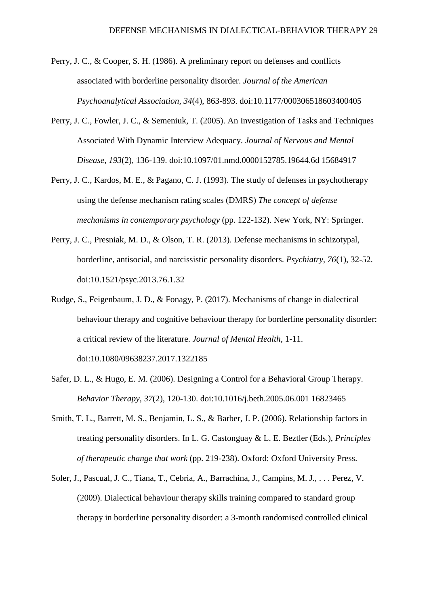- Perry, J. C., & Cooper, S. H. (1986). A preliminary report on defenses and conflicts associated with borderline personality disorder. *Journal of the American Psychoanalytical Association, 34*(4), 863-893. doi:10.1177/000306518603400405
- Perry, J. C., Fowler, J. C., & Semeniuk, T. (2005). An Investigation of Tasks and Techniques Associated With Dynamic Interview Adequacy. *Journal of Nervous and Mental Disease, 193*(2), 136-139. doi:10.1097/01.nmd.0000152785.19644.6d 15684917
- Perry, J. C., Kardos, M. E., & Pagano, C. J. (1993). The study of defenses in psychotherapy using the defense mechanism rating scales (DMRS) *The concept of defense mechanisms in contemporary psychology* (pp. 122-132). New York, NY: Springer.
- Perry, J. C., Presniak, M. D., & Olson, T. R. (2013). Defense mechanisms in schizotypal, borderline, antisocial, and narcissistic personality disorders. *Psychiatry, 76*(1), 32-52. doi:10.1521/psyc.2013.76.1.32
- Rudge, S., Feigenbaum, J. D., & Fonagy, P. (2017). Mechanisms of change in dialectical behaviour therapy and cognitive behaviour therapy for borderline personality disorder: a critical review of the literature. *Journal of Mental Health*, 1-11. doi:10.1080/09638237.2017.1322185
- Safer, D. L., & Hugo, E. M. (2006). Designing a Control for a Behavioral Group Therapy. *Behavior Therapy, 37*(2), 120-130. doi:10.1016/j.beth.2005.06.001 16823465
- Smith, T. L., Barrett, M. S., Benjamin, L. S., & Barber, J. P. (2006). Relationship factors in treating personality disorders. In L. G. Castonguay & L. E. Beztler (Eds.), *Principles of therapeutic change that work* (pp. 219-238). Oxford: Oxford University Press.
- Soler, J., Pascual, J. C., Tiana, T., Cebria, A., Barrachina, J., Campins, M. J., . . . Perez, V. (2009). Dialectical behaviour therapy skills training compared to standard group therapy in borderline personality disorder: a 3-month randomised controlled clinical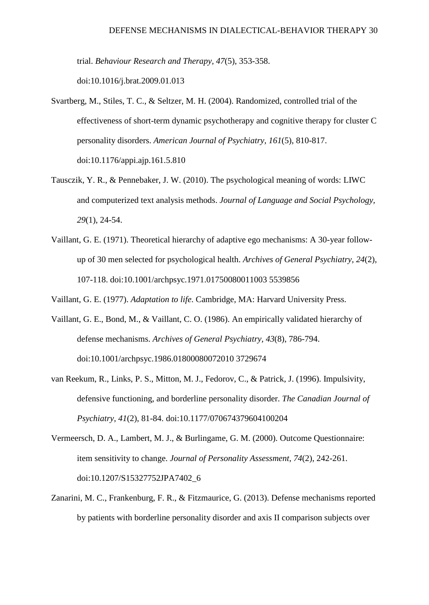trial. *Behaviour Research and Therapy, 47*(5), 353-358.

doi:10.1016/j.brat.2009.01.013

- Svartberg, M., Stiles, T. C., & Seltzer, M. H. (2004). Randomized, controlled trial of the effectiveness of short-term dynamic psychotherapy and cognitive therapy for cluster C personality disorders. *American Journal of Psychiatry, 161*(5), 810-817. doi:10.1176/appi.ajp.161.5.810
- Tausczik, Y. R., & Pennebaker, J. W. (2010). The psychological meaning of words: LIWC and computerized text analysis methods. *Journal of Language and Social Psychology, 29*(1), 24-54.
- Vaillant, G. E. (1971). Theoretical hierarchy of adaptive ego mechanisms: A 30-year followup of 30 men selected for psychological health. *Archives of General Psychiatry, 24*(2), 107-118. doi:10.1001/archpsyc.1971.01750080011003 5539856

Vaillant, G. E. (1977). *Adaptation to life*. Cambridge, MA: Harvard University Press.

- Vaillant, G. E., Bond, M., & Vaillant, C. O. (1986). An empirically validated hierarchy of defense mechanisms. *Archives of General Psychiatry, 43*(8), 786-794. doi:10.1001/archpsyc.1986.01800080072010 3729674
- van Reekum, R., Links, P. S., Mitton, M. J., Fedorov, C., & Patrick, J. (1996). Impulsivity, defensive functioning, and borderline personality disorder. *The Canadian Journal of Psychiatry, 41*(2), 81-84. doi:10.1177/070674379604100204
- Vermeersch, D. A., Lambert, M. J., & Burlingame, G. M. (2000). Outcome Questionnaire: item sensitivity to change. *Journal of Personality Assessment, 74*(2), 242-261. doi:10.1207/S15327752JPA7402\_6
- Zanarini, M. C., Frankenburg, F. R., & Fitzmaurice, G. (2013). Defense mechanisms reported by patients with borderline personality disorder and axis II comparison subjects over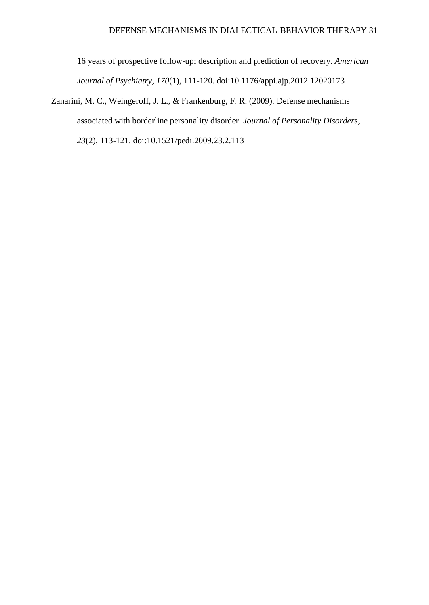16 years of prospective follow-up: description and prediction of recovery. *American Journal of Psychiatry, 170*(1), 111-120. doi:10.1176/appi.ajp.2012.12020173

Zanarini, M. C., Weingeroff, J. L., & Frankenburg, F. R. (2009). Defense mechanisms associated with borderline personality disorder. *Journal of Personality Disorders, 23*(2), 113-121. doi:10.1521/pedi.2009.23.2.113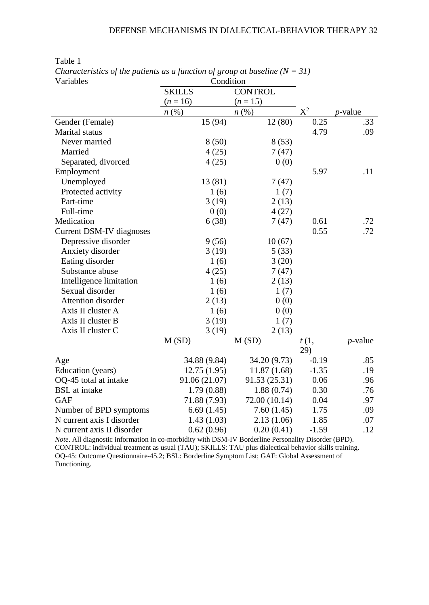| Variables                       | Condition          |                    |         |            |  |  |  |
|---------------------------------|--------------------|--------------------|---------|------------|--|--|--|
|                                 | <b>SKILLS</b>      |                    |         |            |  |  |  |
|                                 | $(n = 16)$         | $(n = 15)$         |         |            |  |  |  |
|                                 | $n\left(\%\right)$ | $n\left(\%\right)$ | $X^2$   | $p$ -value |  |  |  |
| Gender (Female)                 | 15 (94)            | 12(80)             | 0.25    | .33        |  |  |  |
| Marital status                  |                    |                    | 4.79    | .09        |  |  |  |
| Never married                   | 8(50)              | 8(53)              |         |            |  |  |  |
| Married                         | 4(25)              | 7(47)              |         |            |  |  |  |
| Separated, divorced             | 4(25)              | 0(0)               |         |            |  |  |  |
| Employment                      |                    |                    | 5.97    | .11        |  |  |  |
| Unemployed                      | 13 (81)            | 7(47)              |         |            |  |  |  |
| Protected activity              | 1(6)               | 1(7)               |         |            |  |  |  |
| Part-time                       | 3(19)              | 2(13)              |         |            |  |  |  |
| Full-time                       | 0(0)               | 4(27)              |         |            |  |  |  |
| Medication                      | 6(38)              | 7(47)              | 0.61    | .72        |  |  |  |
| <b>Current DSM-IV diagnoses</b> |                    |                    | 0.55    | .72        |  |  |  |
| Depressive disorder             | 9(56)              | 10(67)             |         |            |  |  |  |
| Anxiety disorder                | 3(19)              | 5(33)              |         |            |  |  |  |
| Eating disorder                 | 1(6)               | 3(20)              |         |            |  |  |  |
| Substance abuse                 | 4(25)              | 7(47)              |         |            |  |  |  |
| Intelligence limitation         | 1(6)               | 2(13)              |         |            |  |  |  |
| Sexual disorder                 | 1(6)               | 1(7)               |         |            |  |  |  |
| <b>Attention disorder</b>       | 2(13)              | 0(0)               |         |            |  |  |  |
| Axis II cluster A               | 1(6)               | 0(0)               |         |            |  |  |  |
| Axis II cluster B               | 3(19)              | 1(7)               |         |            |  |  |  |
| Axis II cluster C               | 3(19)              | 2(13)              |         |            |  |  |  |
|                                 | M(SD)              | M(SD)              | t(1,    | $p$ -value |  |  |  |
|                                 |                    |                    | 29)     |            |  |  |  |
| Age                             | 34.88 (9.84)       | 34.20 (9.73)       | $-0.19$ | .85        |  |  |  |
| Education (years)               | 12.75(1.95)        | 11.87(1.68)        | $-1.35$ | .19        |  |  |  |
| OQ-45 total at intake           | 91.06 (21.07)      | 91.53 (25.31)      | 0.06    | .96        |  |  |  |
| <b>BSL</b> at intake            | 1.79(0.88)         | 1.88(0.74)         | 0.30    | .76        |  |  |  |
| <b>GAF</b>                      | 71.88 (7.93)       | 72.00 (10.14)      | 0.04    | .97        |  |  |  |
| Number of BPD symptoms          | 6.69(1.45)         | 7.60(1.45)         | 1.75    | .09        |  |  |  |
| N current axis I disorder       | 1.43(1.03)         | 2.13(1.06)         | 1.85    | .07        |  |  |  |
| N current axis II disorder      | 0.62(0.96)         | 0.20(0.41)         | $-1.59$ | .12        |  |  |  |

Table 1

*Characteristics of the patients as a function of group at baseline*  $(N = 31)$ 

*Note*. All diagnostic information in co-morbidity with DSM-IV Borderline Personality Disorder (BPD). CONTROL: individual treatment as usual (TAU); SKILLS: TAU plus dialectical behavior skills training. OQ-45: Outcome Questionnaire-45.2; BSL: Borderline Symptom List; GAF: Global Assessment of Functioning.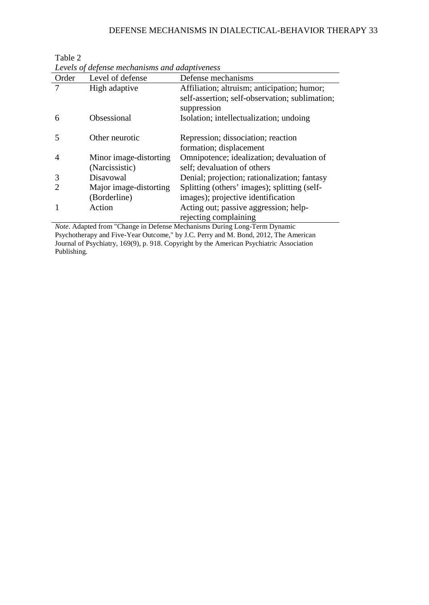# DEFENSE MECHANISMS IN DIALECTICAL-BEHAVIOR THERAPY 33

| Order | Levels of defense mechanisms and daaptiveness<br>Level of defense | Defense mechanisms                                                                 |
|-------|-------------------------------------------------------------------|------------------------------------------------------------------------------------|
|       | High adaptive                                                     | Affiliation; altruism; anticipation; humor;                                        |
|       |                                                                   | self-assertion; self-observation; sublimation;<br>suppression                      |
| 6     | Obsessional                                                       | Isolation; intellectualization; undoing                                            |
| 5     | Other neurotic                                                    | Repression; dissociation; reaction<br>formation; displacement                      |
| 4     | Minor image-distorting<br>(Narcissistic)                          | Omnipotence; idealization; devaluation of<br>self; devaluation of others           |
| 3     | Disayowal                                                         | Denial; projection; rationalization; fantasy                                       |
| 2     | Major image-distorting<br>(Borderline)                            | Splitting (others' images); splitting (self-<br>images); projective identification |
|       | Action                                                            | Acting out; passive aggression; help-<br>rejecting complaining                     |

Table 2 *Levels of defense mechanisms and adaptiveness*

*Note*. Adapted from "Change in Defense Mechanisms During Long-Term Dynamic Psychotherapy and Five-Year Outcome," by J.C. Perry and M. Bond, 2012, The American Journal of Psychiatry, 169(9), p. 918. Copyright by the American Psychiatric Association Publishing.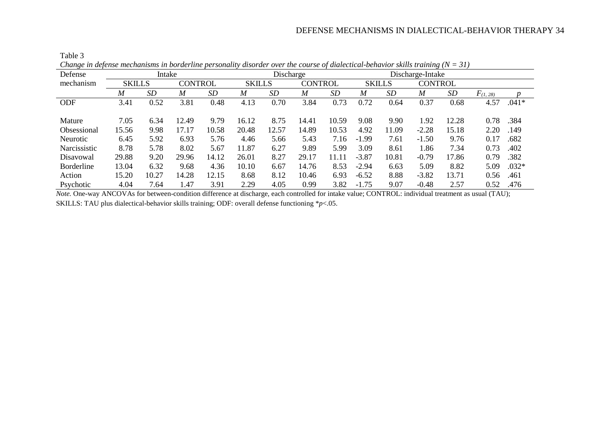| Change in defense mechanisms in borderline personality disorder over the course of didiectical-benavior skills training (iv = 51) |               |       |                |       |               |       |                |       |                  |       |                |       |               |         |
|-----------------------------------------------------------------------------------------------------------------------------------|---------------|-------|----------------|-------|---------------|-------|----------------|-------|------------------|-------|----------------|-------|---------------|---------|
| Defense                                                                                                                           | Intake        |       |                |       | Discharge     |       |                |       | Discharge-Intake |       |                |       |               |         |
| mechanism                                                                                                                         | <b>SKILLS</b> |       | <b>CONTROL</b> |       | <b>SKILLS</b> |       | <b>CONTROL</b> |       | <b>SKILLS</b>    |       | <b>CONTROL</b> |       |               |         |
|                                                                                                                                   | M             | SD    | M              | SD    | M             | SD    | M              | SD    | M                | SD    | M              | SD    | $F_{(1, 28)}$ |         |
| <b>ODF</b>                                                                                                                        | 3.41          | 0.52  | 3.81           | 0.48  | 4.13          | 0.70  | 3.84           | 0.73  | 0.72             | 0.64  | 0.37           | 0.68  | 4.57          | $.041*$ |
|                                                                                                                                   |               |       |                |       |               |       |                |       |                  |       |                |       |               |         |
| Mature                                                                                                                            | 7.05          | 6.34  | 12.49          | 9.79  | 16.12         | 8.75  | 14.41          | 10.59 | 9.08             | 9.90  | 1.92           | 12.28 | 0.78          | .384    |
| Obsessional                                                                                                                       | 15.56         | 9.98  | 17.17          | 10.58 | 20.48         | 12.57 | 14.89          | 10.53 | 4.92             | 11.09 | $-2.28$        | 15.18 | 2.20          | .149    |
| <b>Neurotic</b>                                                                                                                   | 6.45          | 5.92  | 6.93           | 5.76  | 4.46          | 5.66  | 5.43           | 7.16  | $-1.99$          | 7.61  | $-1.50$        | 9.76  | 0.17          | .682    |
| Narcissistic                                                                                                                      | 8.78          | 5.78  | 8.02           | 5.67  | 11.87         | 6.27  | 9.89           | 5.99  | 3.09             | 8.61  | 1.86           | 7.34  | 0.73          | .402    |
| Disayowal                                                                                                                         | 29.88         | 9.20  | 29.96          | 14.12 | 26.01         | 8.27  | 29.17          | 11.11 | $-3.87$          | 10.81 | $-0.79$        | 17.86 | 0.79          | .382    |
| <b>Borderline</b>                                                                                                                 | 13.04         | 6.32  | 9.68           | 4.36  | 10.10         | 6.67  | 14.76          | 8.53  | $-2.94$          | 6.63  | 5.09           | 8.82  | 5.09          | $.032*$ |
| Action                                                                                                                            | 15.20         | 10.27 | 14.28          | 12.15 | 8.68          | 8.12  | 10.46          | 6.93  | $-6.52$          | 8.88  | $-3.82$        | 13.71 | 0.56          | .461    |
| Psychotic                                                                                                                         | 4.04          | 7.64  | l.47           | 3.91  | 2.29          | 4.05  | 0.99           | 3.82  | $-1.75$          | 9.07  | $-0.48$        | 2.57  | 0.52          | .476    |

Table 3

*Change in defense mechanisms in borderline personality disorder over the course of dialectical-behavior skills training (N = 31)*

*Note.* One-way ANCOVAs for between-condition difference at discharge, each controlled for intake value; CONTROL: individual treatment as usual (TAU); SKILLS: TAU plus dialectical-behavior skills training; ODF: overall defense functioning \**p*<.05.